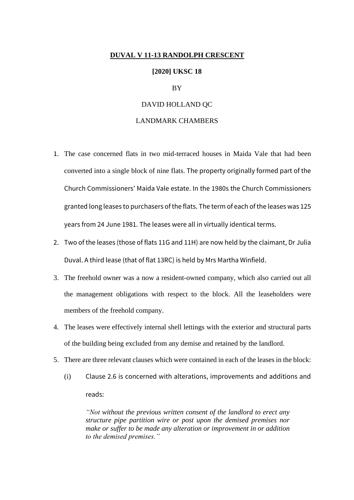#### **DUVAL V 11-13 RANDOLPH CRESCENT**

#### **[2020] UKSC 18**

## BY

## DAVID HOLLAND QC

## LANDMARK CHAMBERS

- 1. The case concerned flats in two mid-terraced houses in Maida Vale that had been converted into a single block of nine flats. The property originally formed part of the Church Commissioners' Maida Vale estate. In the 1980s the Church Commissioners granted long leases to purchasers of the flats. The term of each of the leases was 125 years from 24 June 1981. The leases were all in virtually identical terms.
- 2. Two of the leases (those of flats 11G and 11H) are now held by the claimant, Dr Julia Duval. A third lease (that of flat 13RC) is held by Mrs Martha Winfield.
- 3. The freehold owner was a now a resident-owned company, which also carried out all the management obligations with respect to the block. All the leaseholders were members of the freehold company.
- 4. The leases were effectively internal shell lettings with the exterior and structural parts of the building being excluded from any demise and retained by the landlord.
- 5. There are three relevant clauses which were contained in each of the leases in the block:
	- (i) Clause 2.6 is concerned with alterations, improvements and additions and reads:

*"Not without the previous written consent of the landlord to erect any structure pipe partition wire or post upon the demised premises nor make or suffer to be made any alteration or improvement in or addition to the demised premises."*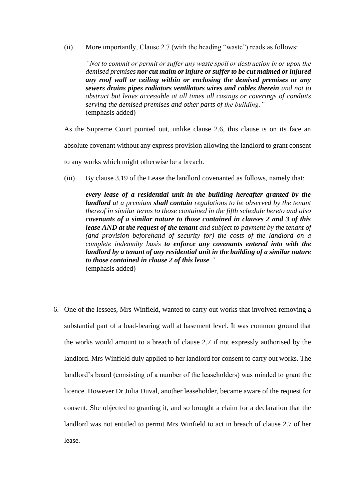(ii) More importantly, Clause 2.7 (with the heading "waste") reads as follows:

*"Not to commit or permit or suffer any waste spoil or destruction in or upon the demised premises nor cut maim or injure or suffer to be cut maimed or injured any roof wall or ceiling within or enclosing the demised premises or any sewers drains pipes radiators ventilators wires and cables therein and not to obstruct but leave accessible at all times all casings or coverings of conduits serving the demised premises and other parts of the building."* (emphasis added)

As the Supreme Court pointed out, unlike clause 2.6, this clause is on its face an absolute covenant without any express provision allowing the landlord to grant consent to any works which might otherwise be a breach.

(iii) By clause 3.19 of the Lease the landlord covenanted as follows, namely that:

*every lease of a residential unit in the building hereafter granted by the landlord at a premium shall contain regulations to be observed by the tenant thereof in similar terms to those contained in the fifth schedule hereto and also covenants of a similar nature to those contained in clauses 2 and 3 of this lease AND at the request of the tenant and subject to payment by the tenant of (and provision beforehand of security for) the costs of the landlord on a complete indemnity basis to enforce any covenants entered into with the landlord by a tenant of any residential unit in the building of a similar nature to those contained in clause 2 of this lease."* (emphasis added)

6. One of the lessees, Mrs Winfield, wanted to carry out works that involved removing a substantial part of a load-bearing wall at basement level. It was common ground that the works would amount to a breach of clause 2.7 if not expressly authorised by the landlord. Mrs Winfield duly applied to her landlord for consent to carry out works. The landlord's board (consisting of a number of the leaseholders) was minded to grant the licence. However Dr Julia Duval, another leaseholder, became aware of the request for consent. She objected to granting it, and so brought a claim for a declaration that the landlord was not entitled to permit Mrs Winfield to act in breach of clause 2.7 of her lease.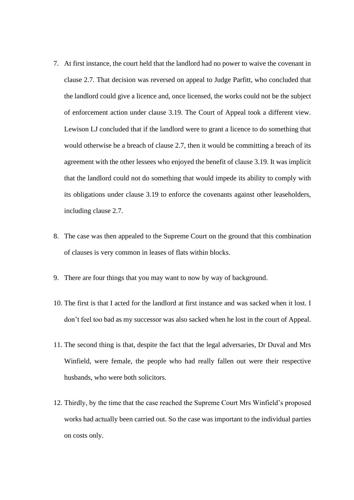- 7. At first instance, the court held that the landlord had no power to waive the covenant in clause 2.7. That decision was reversed on appeal to Judge Parfitt, who concluded that the landlord could give a licence and, once licensed, the works could not be the subject of enforcement action under clause 3.19. The Court of Appeal took a different view. Lewison LJ concluded that if the landlord were to grant a licence to do something that would otherwise be a breach of clause 2.7, then it would be committing a breach of its agreement with the other lessees who enjoyed the benefit of clause 3.19. It was implicit that the landlord could not do something that would impede its ability to comply with its obligations under clause 3.19 to enforce the covenants against other leaseholders, including clause 2.7.
- 8. The case was then appealed to the Supreme Court on the ground that this combination of clauses is very common in leases of flats within blocks.
- 9. There are four things that you may want to now by way of background.
- 10. The first is that I acted for the landlord at first instance and was sacked when it lost. I don't feel too bad as my successor was also sacked when he lost in the court of Appeal.
- 11. The second thing is that, despite the fact that the legal adversaries, Dr Duval and Mrs Winfield, were female, the people who had really fallen out were their respective husbands, who were both solicitors.
- 12. Thirdly, by the time that the case reached the Supreme Court Mrs Winfield's proposed works had actually been carried out. So the case was important to the individual parties on costs only.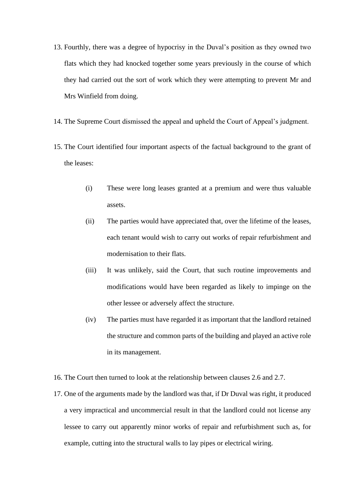- 13. Fourthly, there was a degree of hypocrisy in the Duval's position as they owned two flats which they had knocked together some years previously in the course of which they had carried out the sort of work which they were attempting to prevent Mr and Mrs Winfield from doing.
- 14. The Supreme Court dismissed the appeal and upheld the Court of Appeal's judgment.
- 15. The Court identified four important aspects of the factual background to the grant of the leases:
	- (i) These were long leases granted at a premium and were thus valuable assets.
	- (ii) The parties would have appreciated that, over the lifetime of the leases, each tenant would wish to carry out works of repair refurbishment and modernisation to their flats.
	- (iii) It was unlikely, said the Court, that such routine improvements and modifications would have been regarded as likely to impinge on the other lessee or adversely affect the structure.
	- (iv) The parties must have regarded it as important that the landlord retained the structure and common parts of the building and played an active role in its management.
- 16. The Court then turned to look at the relationship between clauses 2.6 and 2.7.
- 17. One of the arguments made by the landlord was that, if Dr Duval was right, it produced a very impractical and uncommercial result in that the landlord could not license any lessee to carry out apparently minor works of repair and refurbishment such as, for example, cutting into the structural walls to lay pipes or electrical wiring.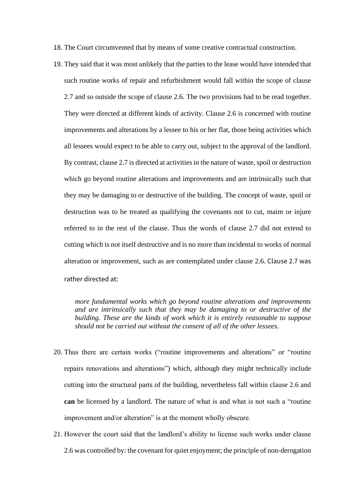18. The Court circumvented that by means of some creative contractual construction.

19. They said that it was most unlikely that the parties to the lease would have intended that such routine works of repair and refurbishment would fall within the scope of clause 2.7 and so outside the scope of clause 2.6. The two provisions had to be read together. They were directed at different kinds of activity. Clause 2.6 is concerned with routine improvements and alterations by a lessee to his or her flat, those being activities which all lessees would expect to be able to carry out, subject to the approval of the landlord. By contrast, clause 2.7 is directed at activities in the nature of waste, spoil or destruction which go beyond routine alterations and improvements and are intrinsically such that they may be damaging to or destructive of the building. The concept of waste, spoil or destruction was to be treated as qualifying the covenants not to cut, maim or injure referred to in the rest of the clause. Thus the words of clause 2.7 did not extend to cutting which is not itself destructive and is no more than incidental to works of normal alteration or improvement, such as are contemplated under clause 2.6. Clause 2.7 was rather directed at:

*more fundamental works which go beyond routine alterations and improvements and are intrinsically such that they may be damaging to or destructive of the building. These are the kinds of work which it is entirely reasonable to suppose should not be carried out without the consent of all of the other lessees.*

- 20. Thus there are certain works ("routine improvements and alterations" or "routine repairs renovations and alterations") which, although they might technically include cutting into the structural parts of the building, nevertheless fall within clause 2.6 and **can** be licensed by a landlord. The nature of what is and what is not such a "routine improvement and/or alteration" is at the moment wholly obscure.
- 21. However the court said that the landlord's ability to license such works under clause 2.6 was controlled by: the covenant for quiet enjoyment; the principle of non-derogation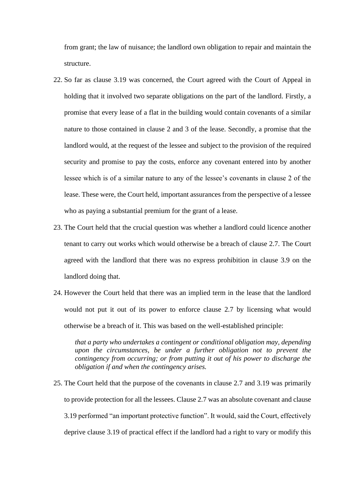from grant; the law of nuisance; the landlord own obligation to repair and maintain the structure.

- 22. So far as clause 3.19 was concerned, the Court agreed with the Court of Appeal in holding that it involved two separate obligations on the part of the landlord. Firstly, a promise that every lease of a flat in the building would contain covenants of a similar nature to those contained in clause 2 and 3 of the lease. Secondly, a promise that the landlord would, at the request of the lessee and subject to the provision of the required security and promise to pay the costs, enforce any covenant entered into by another lessee which is of a similar nature to any of the lessee's covenants in clause 2 of the lease. These were, the Court held, important assurances from the perspective of a lessee who as paying a substantial premium for the grant of a lease.
- 23. The Court held that the crucial question was whether a landlord could licence another tenant to carry out works which would otherwise be a breach of clause 2.7. The Court agreed with the landlord that there was no express prohibition in clause 3.9 on the landlord doing that.
- 24. However the Court held that there was an implied term in the lease that the landlord would not put it out of its power to enforce clause 2.7 by licensing what would otherwise be a breach of it. This was based on the well-established principle:

*that a party who undertakes a contingent or conditional obligation may, depending upon the circumstances, be under a further obligation not to prevent the contingency from occurring; or from putting it out of his power to discharge the obligation if and when the contingency arises.*

25. The Court held that the purpose of the covenants in clause 2.7 and 3.19 was primarily to provide protection for all the lessees. Clause 2.7 was an absolute covenant and clause 3.19 performed "an important protective function". It would, said the Court, effectively deprive clause 3.19 of practical effect if the landlord had a right to vary or modify this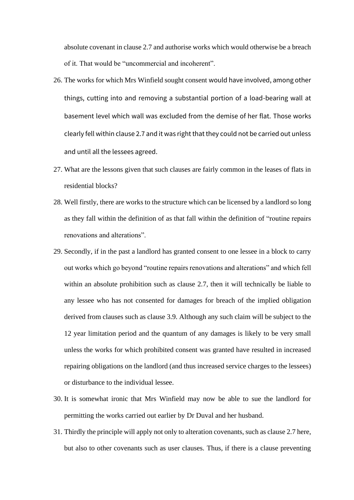absolute covenant in clause 2.7 and authorise works which would otherwise be a breach of it. That would be "uncommercial and incoherent".

- 26. The works for which Mrs Winfield sought consent would have involved, among other things, cutting into and removing a substantial portion of a load-bearing wall at basement level which wall was excluded from the demise of her flat. Those works clearly fell within clause 2.7 and it was right that they could not be carried out unless and until all the lessees agreed.
- 27. What are the lessons given that such clauses are fairly common in the leases of flats in residential blocks?
- 28. Well firstly, there are works to the structure which can be licensed by a landlord so long as they fall within the definition of as that fall within the definition of "routine repairs renovations and alterations".
- 29. Secondly, if in the past a landlord has granted consent to one lessee in a block to carry out works which go beyond "routine repairs renovations and alterations" and which fell within an absolute prohibition such as clause 2.7, then it will technically be liable to any lessee who has not consented for damages for breach of the implied obligation derived from clauses such as clause 3.9. Although any such claim will be subject to the 12 year limitation period and the quantum of any damages is likely to be very small unless the works for which prohibited consent was granted have resulted in increased repairing obligations on the landlord (and thus increased service charges to the lessees) or disturbance to the individual lessee.
- 30. It is somewhat ironic that Mrs Winfield may now be able to sue the landlord for permitting the works carried out earlier by Dr Duval and her husband.
- 31. Thirdly the principle will apply not only to alteration covenants, such as clause 2.7 here, but also to other covenants such as user clauses. Thus, if there is a clause preventing